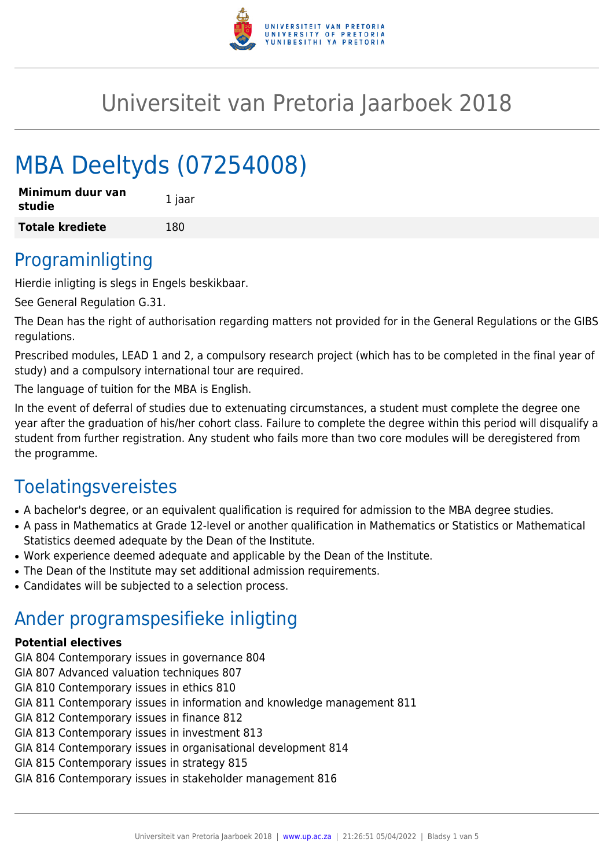

# Universiteit van Pretoria Jaarboek 2018

# MBA Deeltyds (07254008)

| Minimum duur van<br>studie | 1 jaar |
|----------------------------|--------|
| <b>Totale krediete</b>     | 180    |

### Programinligting

Hierdie inligting is slegs in Engels beskikbaar.

See General Regulation G.31.

The Dean has the right of authorisation regarding matters not provided for in the General Regulations or the GIBS regulations.

Prescribed modules, LEAD 1 and 2, a compulsory research project (which has to be completed in the final year of study) and a compulsory international tour are required.

The language of tuition for the MBA is English.

In the event of deferral of studies due to extenuating circumstances, a student must complete the degree one year after the graduation of his/her cohort class. Failure to complete the degree within this period will disqualify a student from further registration. Any student who fails more than two core modules will be deregistered from the programme.

## Toelatingsvereistes

- A bachelor's degree, or an equivalent qualification is required for admission to the MBA degree studies.
- A pass in Mathematics at Grade 12-level or another qualification in Mathematics or Statistics or Mathematical Statistics deemed adequate by the Dean of the Institute.
- Work experience deemed adequate and applicable by the Dean of the Institute.
- The Dean of the Institute may set additional admission requirements.
- Candidates will be subjected to a selection process.

### Ander programspesifieke inligting

#### **Potential electives**

- GIA 804 Contemporary issues in governance 804
- GIA 807 Advanced valuation techniques 807
- GIA 810 Contemporary issues in ethics 810
- GIA 811 Contemporary issues in information and knowledge management 811
- GIA 812 Contemporary issues in finance 812
- GIA 813 Contemporary issues in investment 813
- GIA 814 Contemporary issues in organisational development 814
- GIA 815 Contemporary issues in strategy 815
- GIA 816 Contemporary issues in stakeholder management 816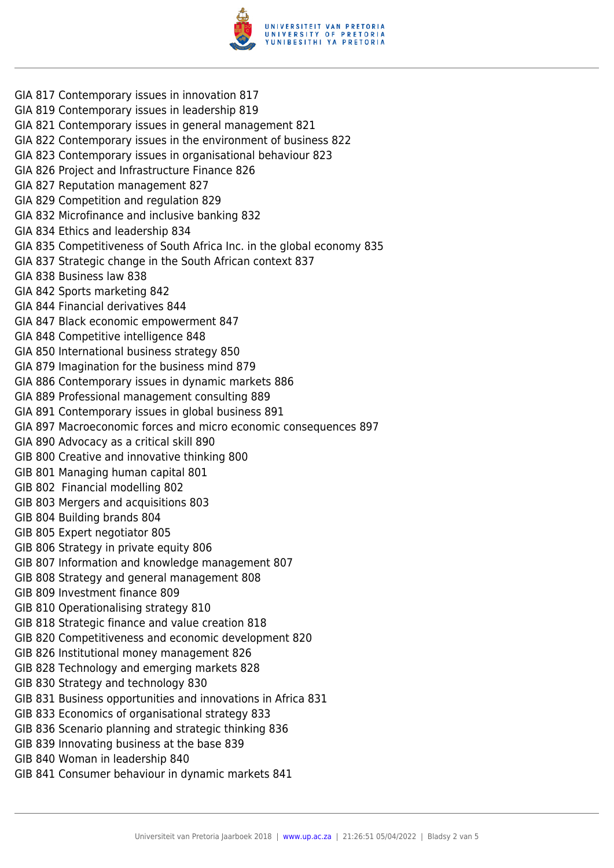

- GIA 817 Contemporary issues in innovation 817
- GIA 819 Contemporary issues in leadership 819
- GIA 821 Contemporary issues in general management 821
- GIA 822 Contemporary issues in the environment of business 822
- GIA 823 Contemporary issues in organisational behaviour 823
- GIA 826 Project and Infrastructure Finance 826
- GIA 827 Reputation management 827
- GIA 829 Competition and regulation 829
- GIA 832 Microfinance and inclusive banking 832
- GIA 834 Ethics and leadership 834
- GIA 835 Competitiveness of South Africa Inc. in the global economy 835
- GIA 837 Strategic change in the South African context 837
- GIA 838 Business law 838
- GIA 842 Sports marketing 842
- GIA 844 Financial derivatives 844
- GIA 847 Black economic empowerment 847
- GIA 848 Competitive intelligence 848
- GIA 850 International business strategy 850
- GIA 879 Imagination for the business mind 879
- GIA 886 Contemporary issues in dynamic markets 886
- GIA 889 Professional management consulting 889
- GIA 891 Contemporary issues in global business 891
- GIA 897 Macroeconomic forces and micro economic consequences 897
- GIA 890 Advocacy as a critical skill 890
- GIB 800 Creative and innovative thinking 800
- GIB 801 Managing human capital 801
- GIB 802 Financial modelling 802
- GIB 803 Mergers and acquisitions 803
- GIB 804 Building brands 804
- GIB 805 Expert negotiator 805
- GIB 806 Strategy in private equity 806
- GIB 807 Information and knowledge management 807
- GIB 808 Strategy and general management 808
- GIB 809 Investment finance 809
- GIB 810 Operationalising strategy 810
- GIB 818 Strategic finance and value creation 818
- GIB 820 Competitiveness and economic development 820
- GIB 826 Institutional money management 826
- GIB 828 Technology and emerging markets 828
- GIB 830 Strategy and technology 830
- GIB 831 Business opportunities and innovations in Africa 831
- GIB 833 Economics of organisational strategy 833
- GIB 836 Scenario planning and strategic thinking 836
- GIB 839 Innovating business at the base 839
- GIB 840 Woman in leadership 840
- GIB 841 Consumer behaviour in dynamic markets 841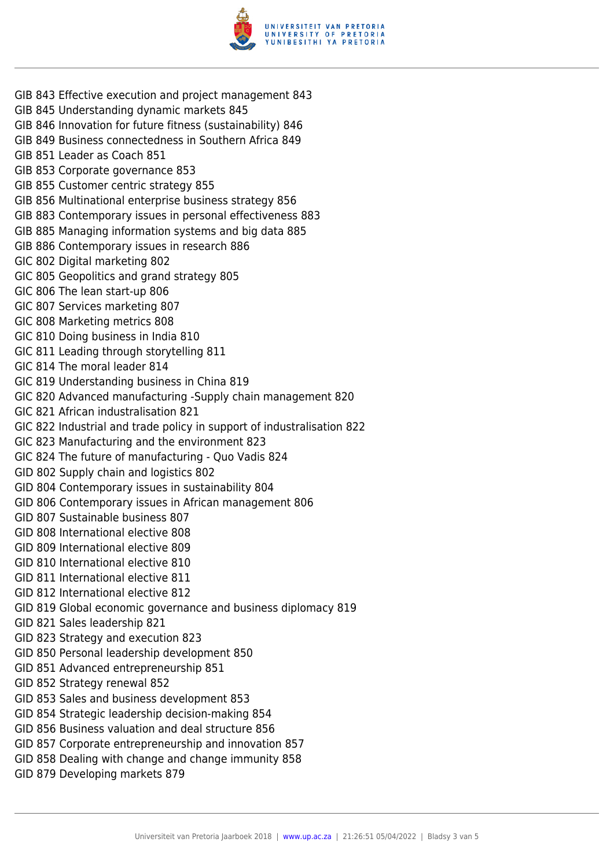

- GIB 843 Effective execution and project management 843
- GIB 845 Understanding dynamic markets 845
- GIB 846 Innovation for future fitness (sustainability) 846
- GIB 849 Business connectedness in Southern Africa 849
- GIB 851 Leader as Coach 851
- GIB 853 Corporate governance 853
- GIB 855 Customer centric strategy 855
- GIB 856 Multinational enterprise business strategy 856
- GIB 883 Contemporary issues in personal effectiveness 883
- GIB 885 Managing information systems and big data 885
- GIB 886 Contemporary issues in research 886
- GIC 802 Digital marketing 802
- GIC 805 Geopolitics and grand strategy 805
- GIC 806 The lean start-up 806
- GIC 807 Services marketing 807
- GIC 808 Marketing metrics 808
- GIC 810 Doing business in India 810
- GIC 811 Leading through storytelling 811
- GIC 814 The moral leader 814
- GIC 819 Understanding business in China 819
- GIC 820 Advanced manufacturing -Supply chain management 820
- GIC 821 African industralisation 821
- GIC 822 Industrial and trade policy in support of industralisation 822
- GIC 823 Manufacturing and the environment 823
- GIC 824 The future of manufacturing Quo Vadis 824
- GID 802 Supply chain and logistics 802
- GID 804 Contemporary issues in sustainability 804
- GID 806 Contemporary issues in African management 806
- GID 807 Sustainable business 807
- GID 808 International elective 808
- GID 809 International elective 809
- GID 810 International elective 810
- GID 811 International elective 811
- GID 812 International elective 812
- GID 819 Global economic governance and business diplomacy 819
- GID 821 Sales leadership 821
- GID 823 Strategy and execution 823
- GID 850 Personal leadership development 850
- GID 851 Advanced entrepreneurship 851
- GID 852 Strategy renewal 852
- GID 853 Sales and business development 853
- GID 854 Strategic leadership decision-making 854
- GID 856 Business valuation and deal structure 856
- GID 857 Corporate entrepreneurship and innovation 857
- GID 858 Dealing with change and change immunity 858
- GID 879 Developing markets 879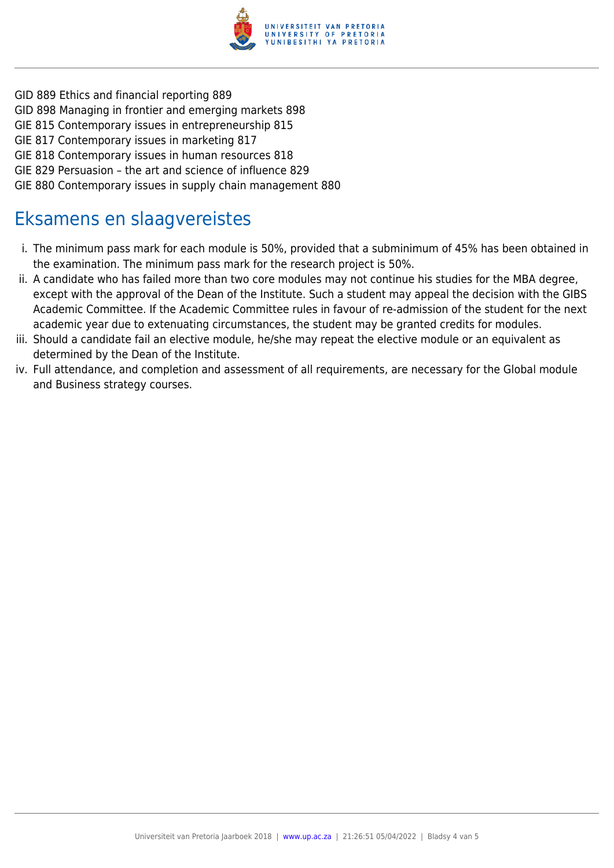

- GID 889 Ethics and financial reporting 889
- GID 898 Managing in frontier and emerging markets 898
- GIE 815 Contemporary issues in entrepreneurship 815
- GIE 817 Contemporary issues in marketing 817
- GIE 818 Contemporary issues in human resources 818
- GIE 829 Persuasion the art and science of influence 829
- GIE 880 Contemporary issues in supply chain management 880

### Eksamens en slaagvereistes

- i. The minimum pass mark for each module is 50%, provided that a subminimum of 45% has been obtained in the examination. The minimum pass mark for the research project is 50%.
- ii. A candidate who has failed more than two core modules may not continue his studies for the MBA degree, except with the approval of the Dean of the Institute. Such a student may appeal the decision with the GIBS Academic Committee. If the Academic Committee rules in favour of re-admission of the student for the next academic year due to extenuating circumstances, the student may be granted credits for modules.
- iii. Should a candidate fail an elective module, he/she may repeat the elective module or an equivalent as determined by the Dean of the Institute.
- iv. Full attendance, and completion and assessment of all requirements, are necessary for the Global module and Business strategy courses.